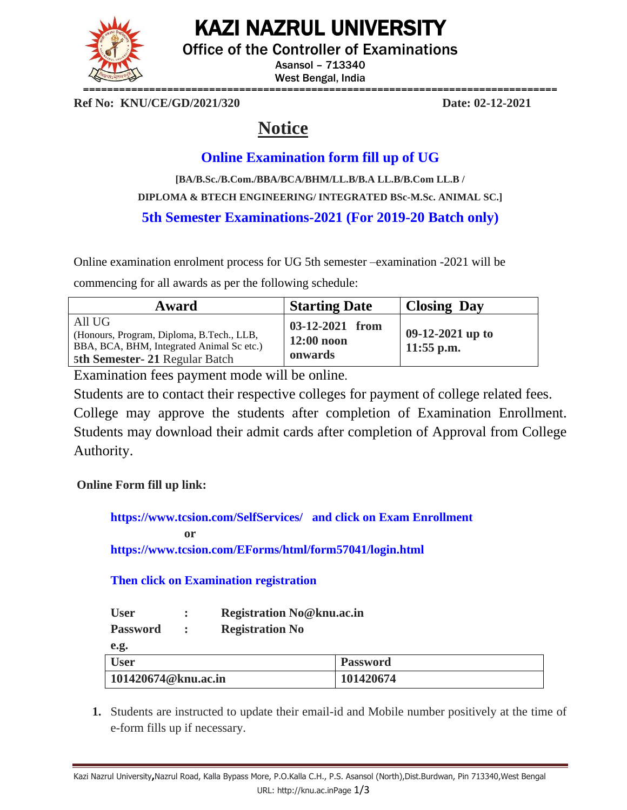

# KAZI NAZRUL UNIVERSITY

Office of the Controller of Examinations

Asansol – 713340 West Bengal, India

**Ref No: KNU/CE/GD/2021/320 Date: 02-12-2021**

# **Notice**

# **Online Examination form fill up of UG**

**[BA/B.Sc./B.Com./BBA/BCA/BHM/LL.B/B.A LL.B/B.Com LL.B / DIPLOMA & BTECH ENGINEERING/ INTEGRATED BSc-M.Sc. ANIMAL SC.] 5th Semester Examinations-2021 (For 2019-20 Batch only)**

Online examination enrolment process for UG 5th semester –examination -2021 will be

commencing for all awards as per the following schedule:

| Award                                                                                                                             | <b>Starting Date</b>                       | <b>Closing Day</b>                 |
|-----------------------------------------------------------------------------------------------------------------------------------|--------------------------------------------|------------------------------------|
| All UG<br>(Honours, Program, Diploma, B.Tech., LLB,<br>BBA, BCA, BHM, Integrated Animal Sc etc.)<br>5th Semester-21 Regular Batch | 03-12-2021 from<br>$12:00$ noon<br>onwards | $09-12-2021$ up to<br>$11:55$ p.m. |

Examination fees payment mode will be online.

Students are to contact their respective colleges for payment of college related fees. College may approve the students after completion of Examination Enrollment. Students may download their admit cards after completion of Approval from College

Authority.

## **Online Form fill up link:**

**<https://www.tcsion.com/SelfServices/>and click on Exam Enrollment or <https://www.tcsion.com/EForms/html/form57041/login.html>**

**Then click on Examination registration**

| <b>User</b> | <b>Registration No@knu.ac.in</b> |
|-------------|----------------------------------|
|-------------|----------------------------------|

**Password : Registration No**

**e.g.**

| <b>User</b>         | <b>Password</b> |
|---------------------|-----------------|
| 101420674@knu.ac.in | 101420674       |

**1.** Students are instructed to update their email-id and Mobile number positively at the time of e-form fills up if necessary.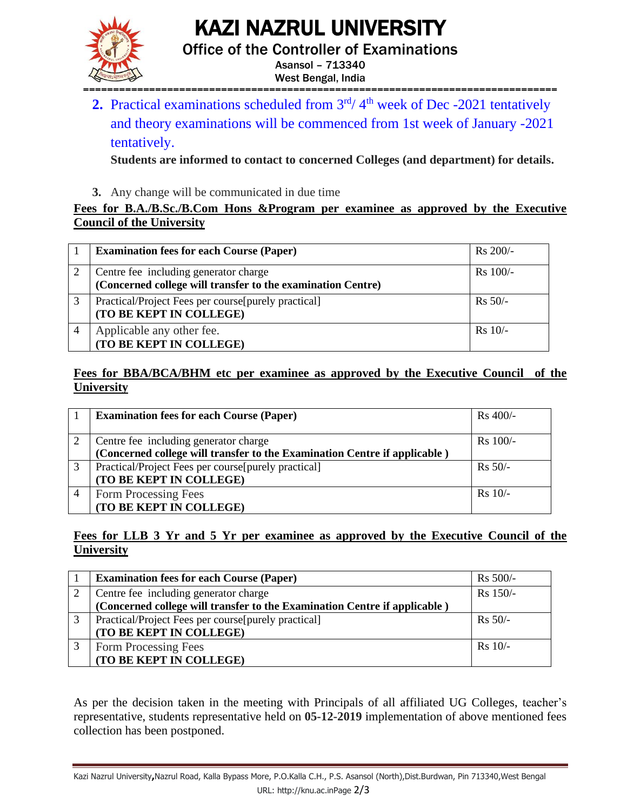KAZI NAZRUL UNIVERSITY



Office of the Controller of Examinations

Asansol – 713340 West Bengal, India

=============================================================================== **2.** Practical examinations scheduled from  $3<sup>rd</sup>/ 4<sup>th</sup>$  week of Dec -2021 tentatively and theory examinations will be commenced from 1st week of January -2021 tentatively.

**Students are informed to contact to concerned Colleges (and department) for details.**

**3.** Any change will be communicated in due time

### **Fees for B.A./B.Sc./B.Com Hons &Program per examinee as approved by the Executive Council of the University**

|   | <b>Examination fees for each Course (Paper)</b>                                                      | $Rs 200/-$ |
|---|------------------------------------------------------------------------------------------------------|------------|
|   | Centre fee including generator charge<br>(Concerned college will transfer to the examination Centre) | $Rs$ 100/- |
| 3 | Practical/Project Fees per course[purely practical]<br>(TO BE KEPT IN COLLEGE)                       | $Rs 50/-$  |
|   | Applicable any other fee.<br>(TO BE KEPT IN COLLEGE)                                                 | $Rs 10/-$  |

#### **Fees for BBA/BCA/BHM etc per examinee as approved by the Executive Council of the University**

|   | <b>Examination fees for each Course (Paper)</b>                           | Rs 400/-   |
|---|---------------------------------------------------------------------------|------------|
|   | Centre fee including generator charge                                     | $Rs$ 100/- |
|   | (Concerned college will transfer to the Examination Centre if applicable) |            |
| 3 | Practical/Project Fees per course[purely practical]                       | $Rs 50/-$  |
|   | (TO BE KEPT IN COLLEGE)                                                   |            |
|   | Form Processing Fees                                                      | $Rs$ 10/-  |
|   | (TO BE KEPT IN COLLEGE)                                                   |            |

### **Fees for LLB 3 Yr and 5 Yr per examinee as approved by the Executive Council of the University**

| <b>Examination fees for each Course (Paper)</b>                           | $Rs 500/-$ |
|---------------------------------------------------------------------------|------------|
| Centre fee including generator charge                                     | Rs 150/-   |
| (Concerned college will transfer to the Examination Centre if applicable) |            |
| Practical/Project Fees per course[purely practical]                       | $Rs 50/-$  |
| (TO BE KEPT IN COLLEGE)                                                   |            |
| Form Processing Fees                                                      | $Rs$ 10/-  |
| (TO BE KEPT IN COLLEGE)                                                   |            |

As per the decision taken in the meeting with Principals of all affiliated UG Colleges, teacher's representative, students representative held on **05-12-2019** implementation of above mentioned fees collection has been postponed.